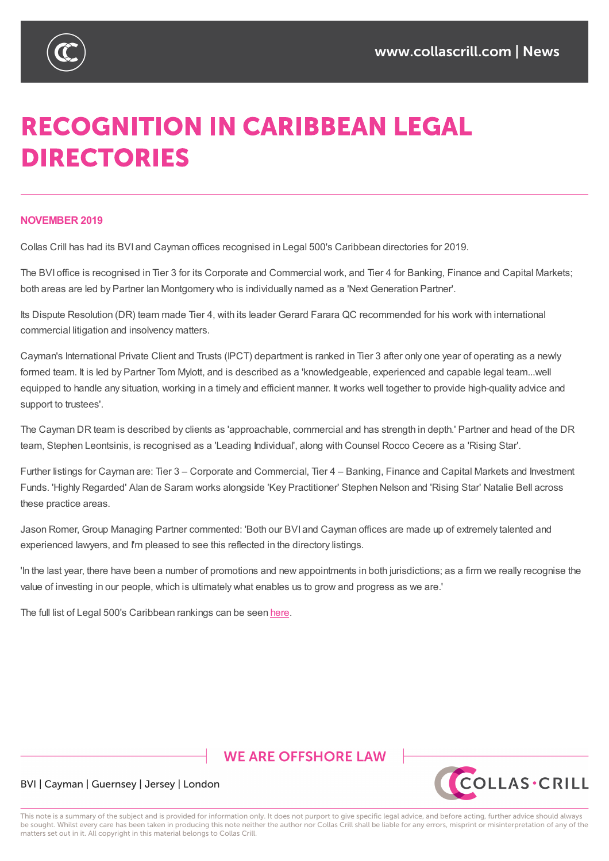

# **RECOGNITION IN CARIBBEAN LEGAL DIRECTORIES**

#### **NOVEMBER 2019**

Collas Crill has had its BVI and Cayman offices recognised in Legal 500's Caribbean directories for 2019.

The BVI office is recognised in Tier 3 for its Corporate and Commercial work, and Tier 4 for Banking, Finance and Capital Markets; both areas are led by Partner Ian Montgomery who is individually named as a 'Next Generation Partner'.

Its Dispute Resolution (DR) team made Tier 4, with its leader Gerard Farara QC recommended for his work with international commercial litigation and insolvency matters.

Cayman's International Private Client and Trusts (IPCT) department is ranked in Tier 3 after only one year of operating as a newly formed team. It is led by Partner Tom Mylott, and is described as a 'knowledgeable, experienced and capable legal team...well equipped to handle any situation, working in a timely and efficient manner. It works well together to provide high-quality advice and support to trustees'.

The Cayman DR team is described by clients as 'approachable, commercial and has strength in depth.' Partner and head of the DR team, Stephen Leontsinis, is recognised as a 'Leading Individual', along with Counsel Rocco Cecere as a 'Rising Star'.

Further listings for Cayman are: Tier 3 – Corporate and Commercial, Tier 4 – Banking, Finance and Capital Markets and Investment Funds. 'Highly Regarded' Alan de Saram works alongside 'Key Practitioner' Stephen Nelson and 'Rising Star' Natalie Bell across these practice areas.

Jason Romer, Group Managing Partner commented: 'Both our BVI and Cayman offices are made up of extremely talented and experienced lawyers, and I'm pleased to see this reflected in the directory listings.

'In the last year, there have been a number of promotions and new appointments in both jurisdictions; as a firm we really recognise the value of investing in our people, which is ultimately what enables us to grow and progress as we are.'

The full list of Legal 500's Caribbean rankings can be seen here.

# **WE ARE OFFSHORE LAW**



### BVI | Cayman | Guernsey | Jersey | London

This note is a summary of the subject and is provided for information only. It does not purport to give specific legal advice, and before acting, further advice should always be sought. Whilst every care has been taken in producing this note neither the author nor Collas Crill shall be liable for any errors, misprint or misinterpretation of any of the matters set out in it. All copyright in this material belongs to Collas Crill.